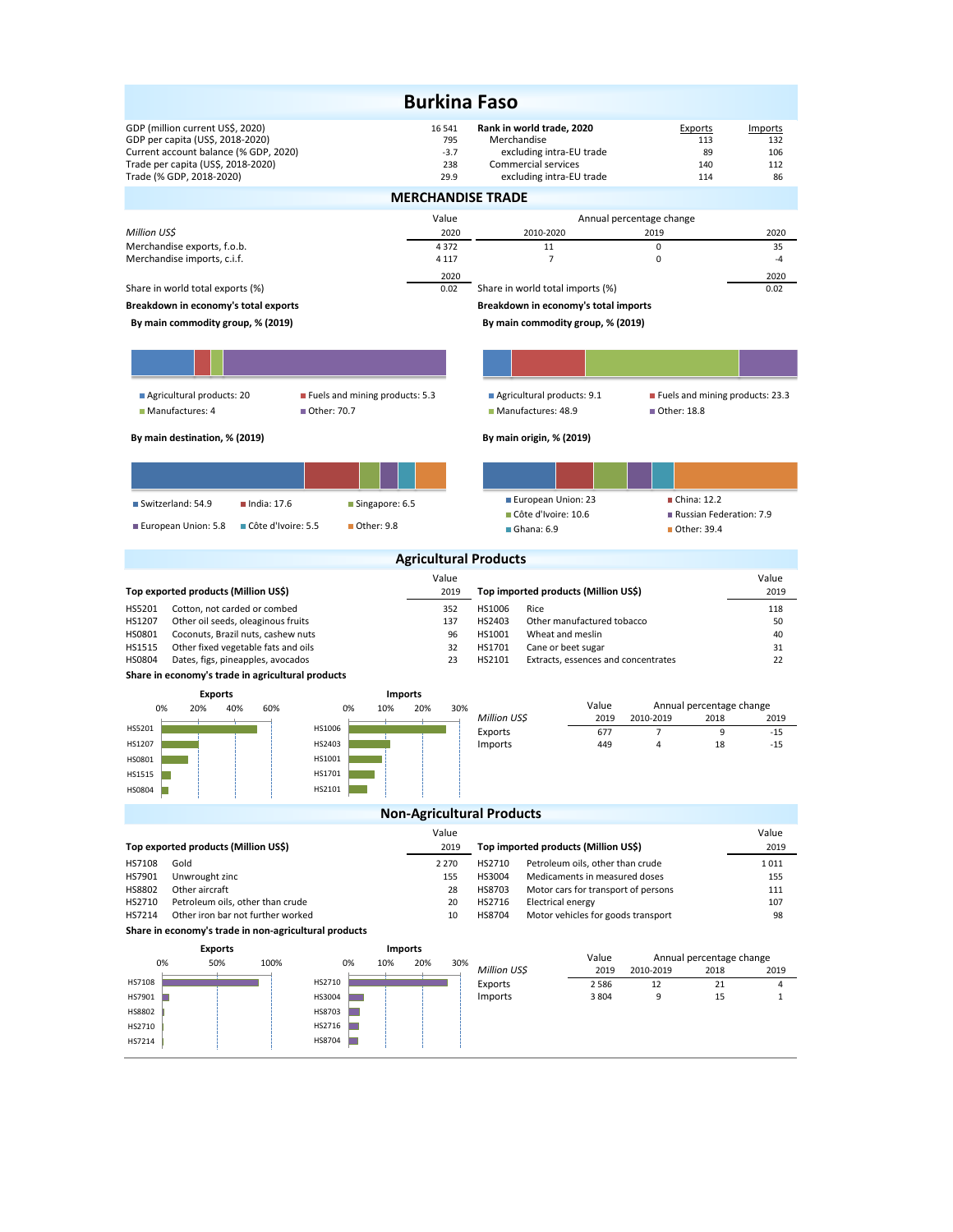|                                                                                                                                                                                 | <b>Burkina Faso</b>                    |                                                                                                                         |                                                |                                    |  |  |
|---------------------------------------------------------------------------------------------------------------------------------------------------------------------------------|----------------------------------------|-------------------------------------------------------------------------------------------------------------------------|------------------------------------------------|------------------------------------|--|--|
| GDP (million current US\$, 2020)<br>GDP per capita (US\$, 2018-2020)<br>Current account balance (% GDP, 2020)<br>Trade per capita (US\$, 2018-2020)<br>Trade (% GDP, 2018-2020) | 16 541<br>795<br>$-3.7$<br>238<br>29.9 | Rank in world trade, 2020<br>Merchandise<br>excluding intra-EU trade<br>Commercial services<br>excluding intra-EU trade | Exports<br>113<br>89<br>140<br>114             | Imports<br>132<br>106<br>112<br>86 |  |  |
|                                                                                                                                                                                 | <b>MERCHANDISE TRADE</b>               |                                                                                                                         |                                                |                                    |  |  |
|                                                                                                                                                                                 | Value                                  |                                                                                                                         | Annual percentage change                       |                                    |  |  |
| Million US\$<br>Merchandise exports, f.o.b.                                                                                                                                     | 2020<br>4372                           | 2010-2020<br>11                                                                                                         | 2019<br>0                                      | 2020<br>35                         |  |  |
| Merchandise imports, c.i.f.                                                                                                                                                     | 4 1 1 7                                | $\overline{7}$                                                                                                          | $\mathbf 0$                                    | $-4$                               |  |  |
| Share in world total exports (%)                                                                                                                                                | 2020<br>0.02                           | Share in world total imports (%)                                                                                        |                                                | 2020<br>0.02                       |  |  |
| Breakdown in economy's total exports                                                                                                                                            |                                        | Breakdown in economy's total imports                                                                                    |                                                |                                    |  |  |
| By main commodity group, % (2019)                                                                                                                                               |                                        | By main commodity group, % (2019)                                                                                       |                                                |                                    |  |  |
|                                                                                                                                                                                 |                                        |                                                                                                                         |                                                |                                    |  |  |
|                                                                                                                                                                                 |                                        |                                                                                                                         |                                                |                                    |  |  |
| Agricultural products: 20<br>Fuels and mining products: 5.3<br>Manufactures: 4<br>Other: 70.7                                                                                   |                                        | Agricultural products: 9.1<br>Manufactures: 48.9                                                                        | Fuels and mining products: 23.3<br>Other: 18.8 |                                    |  |  |
| By main destination, % (2019)                                                                                                                                                   |                                        | By main origin, % (2019)                                                                                                |                                                |                                    |  |  |
|                                                                                                                                                                                 |                                        |                                                                                                                         |                                                |                                    |  |  |
|                                                                                                                                                                                 |                                        |                                                                                                                         |                                                |                                    |  |  |
| Switzerland: 54.9<br>$n$ India: 17.6<br>Singapore: 6.5                                                                                                                          |                                        | European Union: 23<br>Côte d'Ivoire: 10.6                                                                               | China: 12.2<br>Russian Federation: 7.9         |                                    |  |  |
| ■ Côte d'Ivoire: 5.5<br>■ Other: 9.8<br>European Union: 5.8                                                                                                                     |                                        | $\blacksquare$ Ghana: 6.9                                                                                               | ■ Other: 39.4                                  |                                    |  |  |
|                                                                                                                                                                                 | <b>Agricultural Products</b>           |                                                                                                                         |                                                |                                    |  |  |
| Top exported products (Million US\$)                                                                                                                                            | Value<br>2019                          | Top imported products (Million US\$)                                                                                    |                                                | Value<br>2019                      |  |  |
| HS5201<br>Cotton, not carded or combed                                                                                                                                          | 352                                    | HS1006<br>Rice                                                                                                          |                                                | 118                                |  |  |
| HS1207<br>Other oil seeds, oleaginous fruits                                                                                                                                    | 137                                    | Other manufactured tobacco<br>HS2403                                                                                    |                                                | 50                                 |  |  |
| HS0801<br>Coconuts, Brazil nuts, cashew nuts                                                                                                                                    |                                        |                                                                                                                         |                                                |                                    |  |  |
| HS1515<br>Other fixed vegetable fats and oils                                                                                                                                   | 96<br>32                               | HS1001<br>Wheat and meslin<br>HS1701<br>Cane or beet sugar                                                              |                                                | 40<br>31                           |  |  |
| <b>HS0804</b><br>Dates, figs, pineapples, avocados                                                                                                                              | 23                                     | HS2101<br>Extracts, essences and concentrates                                                                           |                                                | 22                                 |  |  |
| Share in economy's trade in agricultural products                                                                                                                               |                                        |                                                                                                                         |                                                |                                    |  |  |
| <b>Imports</b><br><b>Exports</b><br>0%                                                                                                                                          |                                        | Value                                                                                                                   | Annual percentage change                       |                                    |  |  |
| 20%<br>40%<br>60%<br>0%<br>10%                                                                                                                                                  | 20%<br>30%                             | Million US\$<br>2019                                                                                                    | 2010-2019<br>2018                              | 2019                               |  |  |
| HS1006<br>HS5201<br>HS2403<br>HS1207                                                                                                                                            |                                        | Exports<br>677<br>Imports<br>449                                                                                        | $\overline{7}$<br>9<br>$\overline{4}$<br>18    | $-15$<br>$-15$                     |  |  |
| HS1001<br>HS0801                                                                                                                                                                |                                        |                                                                                                                         |                                                |                                    |  |  |
| HS1701<br><b>HS1515</b>                                                                                                                                                         |                                        |                                                                                                                         |                                                |                                    |  |  |
| HS2101<br>HS0804                                                                                                                                                                |                                        |                                                                                                                         |                                                |                                    |  |  |
|                                                                                                                                                                                 |                                        | <b>Non-Agricultural Products</b>                                                                                        |                                                |                                    |  |  |
| Top exported products (Million US\$)                                                                                                                                            | Value<br>2019                          | Top imported products (Million US\$)                                                                                    |                                                | Value<br>2019                      |  |  |
| HS7108<br>Gold                                                                                                                                                                  | 2 2 7 0                                | HS2710<br>Petroleum oils, other than crude                                                                              |                                                | 1011                               |  |  |
| HS7901<br>Unwrought zinc                                                                                                                                                        | 155                                    | HS3004<br>Medicaments in measured doses                                                                                 |                                                | 155                                |  |  |
| HS8802<br>Other aircraft<br>HS2710<br>Petroleum oils, other than crude                                                                                                          | 28<br>20                               | HS8703<br>Motor cars for transport of persons<br>HS2716<br><b>Electrical energy</b>                                     |                                                | 111<br>107                         |  |  |
| HS7214<br>Other iron bar not further worked                                                                                                                                     | 10                                     | HS8704<br>Motor vehicles for goods transport                                                                            |                                                | 98                                 |  |  |
| Share in economy's trade in non-agricultural products                                                                                                                           |                                        |                                                                                                                         |                                                |                                    |  |  |
| <b>Imports</b><br><b>Exports</b><br>0%<br>50%<br>0%<br>10%<br>100%                                                                                                              | 20%<br>30%                             | Value                                                                                                                   | Annual percentage change                       |                                    |  |  |
| HS2710<br>HS7108                                                                                                                                                                |                                        | Million US\$<br>2019<br>2586                                                                                            | 2010-2019<br>2018<br>12<br>21                  | 2019<br>4                          |  |  |
| HS3004<br>HS7901                                                                                                                                                                |                                        | Exports<br>Imports<br>3 8 0 4                                                                                           | 9<br>15                                        | 1                                  |  |  |
| HS8802<br>HS8703                                                                                                                                                                |                                        |                                                                                                                         |                                                |                                    |  |  |
| HS2716<br>HS2710<br>HS8704<br>HS7214                                                                                                                                            |                                        |                                                                                                                         |                                                |                                    |  |  |